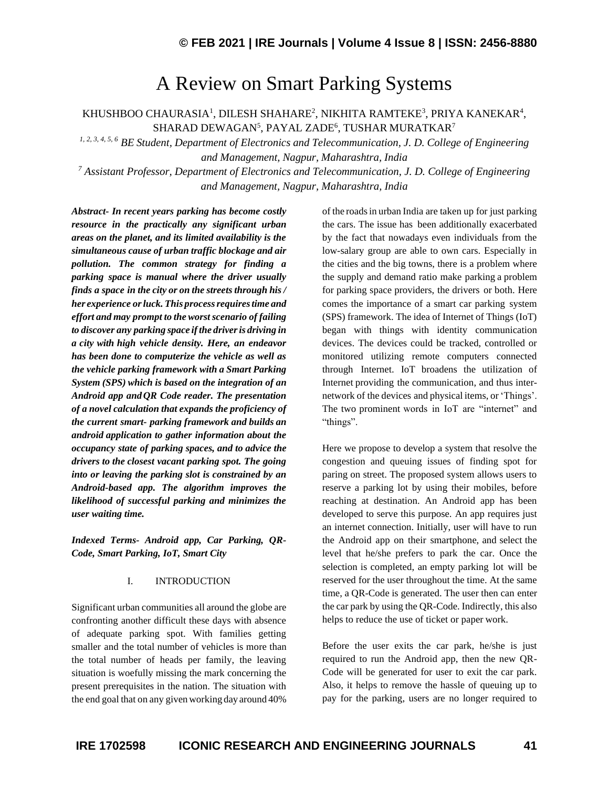# A Review on Smart Parking Systems

KHUSHBOO CHAURASIA<sup>1</sup>, DILESH SHAHARE<sup>2</sup>, NIKHITA RAMTEKE<sup>3</sup>, PRIYA KANEKAR<sup>4</sup>,  $\mathbf S$ HARAD DEWAGAN $^5$ , PAYAL ZADE $^6$ , TUSHAR MURATKAR $^7$ 

*1, 2, 3, 4, 5, 6 BE Student, Department of Electronics and Telecommunication, J. D. College of Engineering and Management, Nagpur, Maharashtra, India*

*<sup>7</sup> Assistant Professor, Department of Electronics and Telecommunication, J. D. College of Engineering and Management, Nagpur, Maharashtra, India*

*Abstract- In recent years parking has become costly resource in the practically any significant urban areas on the planet, and its limited availability is the simultaneous cause of urban traffic blockage and air pollution. The common strategy for finding a parking space is manual where the driver usually finds a space in the city or on the streets through his / her experience orluck. This processrequirestime and effort and may prompt to the worst scenario of failing to discover any parking space ifthe driveris driving in a city with high vehicle density. Here, an endeavor has been done to computerize the vehicle as well as the vehicle parking framework with a Smart Parking System (SPS) which is based on the integration of an Android app andQR Code reader. The presentation of a novel calculation that expands the proficiency of the current smart- parking framework and builds an android application to gather information about the occupancy state of parking spaces, and to advice the drivers to the closest vacant parking spot. The going into or leaving the parking slot is constrained by an Android-based app. The algorithm improves the likelihood of successful parking and minimizes the user waiting time.*

*Indexed Terms- Android app, Car Parking, QR-Code, Smart Parking, IoT, Smart City*

#### I. INTRODUCTION

Significant urban communities all around the globe are confronting another difficult these days with absence of adequate parking spot. With families getting smaller and the total number of vehicles is more than the total number of heads per family, the leaving situation is woefully missing the mark concerning the present prerequisites in the nation. The situation with the end goal that on any given working day around 40%

of the roadsin urban India are taken up for just parking the cars. The issue has been additionally exacerbated by the fact that nowadays even individuals from the low-salary group are able to own cars. Especially in the cities and the big towns, there is a problem where the supply and demand ratio make parking a problem for parking space providers, the drivers or both. Here comes the importance of a smart car parking system (SPS) framework. The idea of Internet of Things (IoT) began with things with identity communication devices. The devices could be tracked, controlled or monitored utilizing remote computers connected through Internet. IoT broadens the utilization of Internet providing the communication, and thus internetwork of the devices and physical items, or 'Things'. The two prominent words in IoT are "internet" and "things".

Here we propose to develop a system that resolve the congestion and queuing issues of finding spot for paring on street. The proposed system allows users to reserve a parking lot by using their mobiles, before reaching at destination. An Android app has been developed to serve this purpose. An app requires just an internet connection. Initially, user will have to run the Android app on their smartphone, and select the level that he/she prefers to park the car. Once the selection is completed, an empty parking lot will be reserved for the user throughout the time. At the same time, a QR-Code is generated. The user then can enter the car park by using the QR-Code. Indirectly, this also helps to reduce the use of ticket or paper work.

Before the user exits the car park, he/she is just required to run the Android app, then the new QR-Code will be generated for user to exit the car park. Also, it helps to remove the hassle of queuing up to pay for the parking, users are no longer required to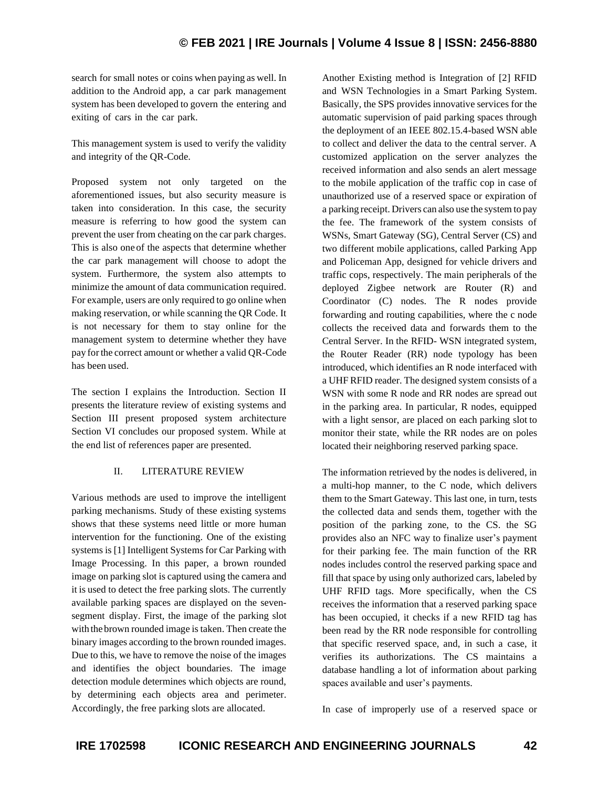search for small notes or coins when paying as well. In addition to the Android app, a car park management system has been developed to govern the entering and exiting of cars in the car park.

This management system is used to verify the validity and integrity of the QR-Code.

Proposed system not only targeted on the aforementioned issues, but also security measure is taken into consideration. In this case, the security measure is referring to how good the system can prevent the user from cheating on the car park charges. This is also one of the aspects that determine whether the car park management will choose to adopt the system. Furthermore, the system also attempts to minimize the amount of data communication required. For example, users are only required to go online when making reservation, or while scanning the QR Code. It is not necessary for them to stay online for the management system to determine whether they have pay forthe correct amount or whether a valid QR-Code has been used.

The section I explains the Introduction. Section II presents the literature review of existing systems and Section III present proposed system architecture Section VI concludes our proposed system. While at the end list of references paper are presented.

#### II. LITERATURE REVIEW

Various methods are used to improve the intelligent parking mechanisms. Study of these existing systems shows that these systems need little or more human intervention for the functioning. One of the existing systems is [1] Intelligent Systems for Car Parking with Image Processing. In this paper, a brown rounded image on parking slot is captured using the camera and it is used to detect the free parking slots. The currently available parking spaces are displayed on the sevensegment display. First, the image of the parking slot with the brown rounded image is taken. Then create the binary images according to the brown rounded images. Due to this, we have to remove the noise of the images and identifies the object boundaries. The image detection module determines which objects are round, by determining each objects area and perimeter. Accordingly, the free parking slots are allocated.

Another Existing method is Integration of [2] RFID and WSN Technologies in a Smart Parking System. Basically, the SPS provides innovative services for the automatic supervision of paid parking spaces through the deployment of an IEEE 802.15.4-based WSN able to collect and deliver the data to the central server. A customized application on the server analyzes the received information and also sends an alert message to the mobile application of the traffic cop in case of unauthorized use of a reserved space or expiration of a parking receipt. Drivers can also use the system to pay the fee. The framework of the system consists of WSNs, Smart Gateway (SG), Central Server (CS) and two different mobile applications, called Parking App and Policeman App, designed for vehicle drivers and traffic cops, respectively. The main peripherals of the deployed Zigbee network are Router (R) and Coordinator (C) nodes. The R nodes provide forwarding and routing capabilities, where the c node collects the received data and forwards them to the Central Server. In the RFID- WSN integrated system, the Router Reader (RR) node typology has been introduced, which identifies an R node interfaced with a UHF RFID reader. The designed system consists of a WSN with some R node and RR nodes are spread out in the parking area. In particular, R nodes, equipped with a light sensor, are placed on each parking slot to monitor their state, while the RR nodes are on poles located their neighboring reserved parking space.

The information retrieved by the nodes is delivered, in a multi-hop manner, to the C node, which delivers them to the Smart Gateway. This last one, in turn, tests the collected data and sends them, together with the position of the parking zone, to the CS. the SG provides also an NFC way to finalize user's payment for their parking fee. The main function of the RR nodes includes control the reserved parking space and fill that space by using only authorized cars, labeled by UHF RFID tags. More specifically, when the CS receives the information that a reserved parking space has been occupied, it checks if a new RFID tag has been read by the RR node responsible for controlling that specific reserved space, and, in such a case, it verifies its authorizations. The CS maintains a database handling a lot of information about parking spaces available and user's payments.

In case of improperly use of a reserved space or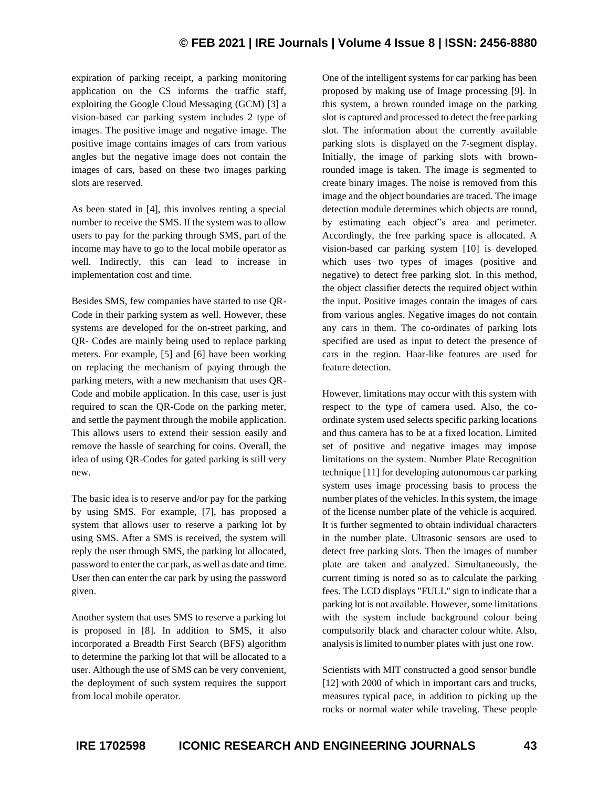expiration of parking receipt, a parking monitoring application on the CS informs the traffic staff, exploiting the Google Cloud Messaging (GCM) [3] a vision-based car parking system includes 2 type of images. The positive image and negative image. The positive image contains images of cars from various angles but the negative image does not contain the images of cars, based on these two images parking slots are reserved.

As been stated in [4], this involves renting a special number to receive the SMS. If the system was to allow users to pay for the parking through SMS, part of the income may have to go to the local mobile operator as well. Indirectly, this can lead to increase in implementation cost and time.

Besides SMS, few companies have started to use QR-Code in their parking system as well. However, these systems are developed for the on-street parking, and QR- Codes are mainly being used to replace parking meters. For example, [5] and [6] have been working on replacing the mechanism of paying through the parking meters, with a new mechanism that uses QR-Code and mobile application. In this case, user is just required to scan the QR-Code on the parking meter, and settle the payment through the mobile application. This allows users to extend their session easily and remove the hassle of searching for coins. Overall, the idea of using QR-Codes for gated parking is still very new.

The basic idea is to reserve and/or pay for the parking by using SMS. For example, [7], has proposed a system that allows user to reserve a parking lot by using SMS. After a SMS is received, the system will reply the user through SMS, the parking lot allocated, password to enter the car park, as well as date and time. User then can enter the car park by using the password given.

Another system that uses SMS to reserve a parking lot is proposed in [8]. In addition to SMS, it also incorporated a Breadth First Search (BFS) algorithm to determine the parking lot that will be allocated to a user. Although the use of SMS can be very convenient, the deployment of such system requires the support from local mobile operator.

One of the intelligent systems for car parking has been proposed by making use of Image processing [9]. In this system, a brown rounded image on the parking slot is captured and processed to detect the free parking slot. The information about the currently available parking slots is displayed on the 7-segment display. Initially, the image of parking slots with brownrounded image is taken. The image is segmented to create binary images. The noise is removed from this image and the object boundaries are traced. The image detection module determines which objects are round, by estimating each object"s area and perimeter. Accordingly, the free parking space is allocated. A vision-based car parking system [10] is developed which uses two types of images (positive and negative) to detect free parking slot. In this method, the object classifier detects the required object within the input. Positive images contain the images of cars from various angles. Negative images do not contain any cars in them. The co-ordinates of parking lots specified are used as input to detect the presence of cars in the region. Haar-like features are used for feature detection.

However, limitations may occur with this system with respect to the type of camera used. Also, the coordinate system used selects specific parking locations and thus camera has to be at a fixed location. Limited set of positive and negative images may impose limitations on the system. Number Plate Recognition technique [11] for developing autonomous car parking system uses image processing basis to process the number plates of the vehicles. In this system, the image of the license number plate of the vehicle is acquired. It is further segmented to obtain individual characters in the number plate. Ultrasonic sensors are used to detect free parking slots. Then the images of number plate are taken and analyzed. Simultaneously, the current timing is noted so as to calculate the parking fees. The LCD displays "FULL" sign to indicate that a parking lot is not available. However, some limitations with the system include background colour being compulsorily black and character colour white. Also, analysisislimited to number plates with just one row.

Scientists with MIT constructed a good sensor bundle [12] with 2000 of which in important cars and trucks, measures typical pace, in addition to picking up the rocks or normal water while traveling. These people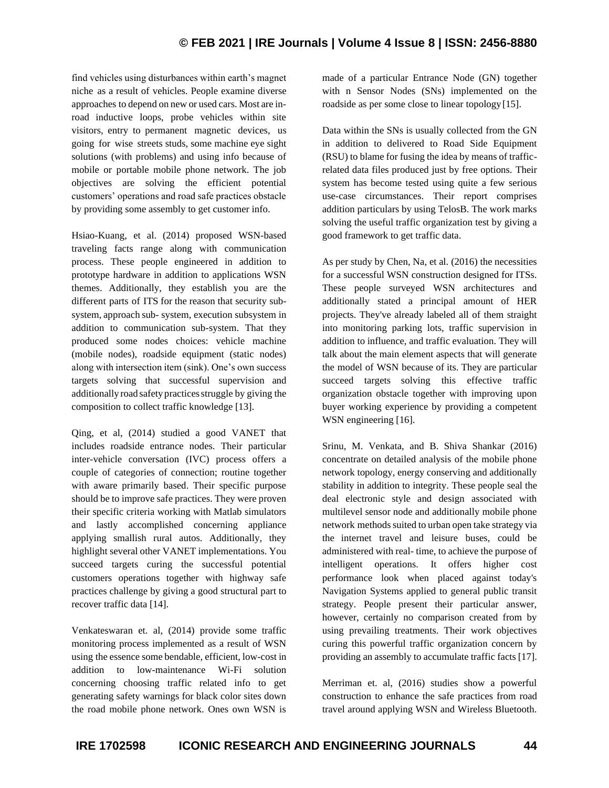## **© FEB 2021 | IRE Journals | Volume 4 Issue 8 | ISSN: 2456-8880**

find vehicles using disturbances within earth's magnet niche as a result of vehicles. People examine diverse approaches to depend on new or used cars. Most are inroad inductive loops, probe vehicles within site visitors, entry to permanent magnetic devices, us going for wise streets studs, some machine eye sight solutions (with problems) and using info because of mobile or portable mobile phone network. The job objectives are solving the efficient potential customers' operations and road safe practices obstacle by providing some assembly to get customer info.

Hsiao-Kuang, et al. (2014) proposed WSN-based traveling facts range along with communication process. These people engineered in addition to prototype hardware in addition to applications WSN themes. Additionally, they establish you are the different parts of ITS for the reason that security subsystem, approach sub- system, execution subsystem in addition to communication sub-system. That they produced some nodes choices: vehicle machine (mobile nodes), roadside equipment (static nodes) along with intersection item (sink). One's own success targets solving that successful supervision and additionally road safety practices struggle by giving the composition to collect traffic knowledge [13].

Qing, et al, (2014) studied a good VANET that includes roadside entrance nodes. Their particular inter-vehicle conversation (IVC) process offers a couple of categories of connection; routine together with aware primarily based. Their specific purpose should be to improve safe practices. They were proven their specific criteria working with Matlab simulators and lastly accomplished concerning appliance applying smallish rural autos. Additionally, they highlight several other VANET implementations. You succeed targets curing the successful potential customers operations together with highway safe practices challenge by giving a good structural part to recover traffic data [14].

Venkateswaran et. al, (2014) provide some traffic monitoring process implemented as a result of WSN using the essence some bendable, efficient, low-cost in addition to low-maintenance Wi-Fi solution concerning choosing traffic related info to get generating safety warnings for black color sites down the road mobile phone network. Ones own WSN is made of a particular Entrance Node (GN) together with n Sensor Nodes (SNs) implemented on the roadside as per some close to linear topology[15].

Data within the SNs is usually collected from the GN in addition to delivered to Road Side Equipment (RSU) to blame for fusing the idea by means of trafficrelated data files produced just by free options. Their system has become tested using quite a few serious use-case circumstances. Their report comprises addition particulars by using TelosB. The work marks solving the useful traffic organization test by giving a good framework to get traffic data.

As per study by Chen, Na, et al. (2016) the necessities for a successful WSN construction designed for ITSs. These people surveyed WSN architectures and additionally stated a principal amount of HER projects. They've already labeled all of them straight into monitoring parking lots, traffic supervision in addition to influence, and traffic evaluation. They will talk about the main element aspects that will generate the model of WSN because of its. They are particular succeed targets solving this effective traffic organization obstacle together with improving upon buyer working experience by providing a competent WSN engineering [16].

Srinu, M. Venkata, and B. Shiva Shankar (2016) concentrate on detailed analysis of the mobile phone network topology, energy conserving and additionally stability in addition to integrity. These people seal the deal electronic style and design associated with multilevel sensor node and additionally mobile phone network methods suited to urban open take strategy via the internet travel and leisure buses, could be administered with real- time, to achieve the purpose of intelligent operations. It offers higher cost performance look when placed against today's Navigation Systems applied to general public transit strategy. People present their particular answer, however, certainly no comparison created from by using prevailing treatments. Their work objectives curing this powerful traffic organization concern by providing an assembly to accumulate traffic facts [17].

Merriman et. al, (2016) studies show a powerful construction to enhance the safe practices from road travel around applying WSN and Wireless Bluetooth.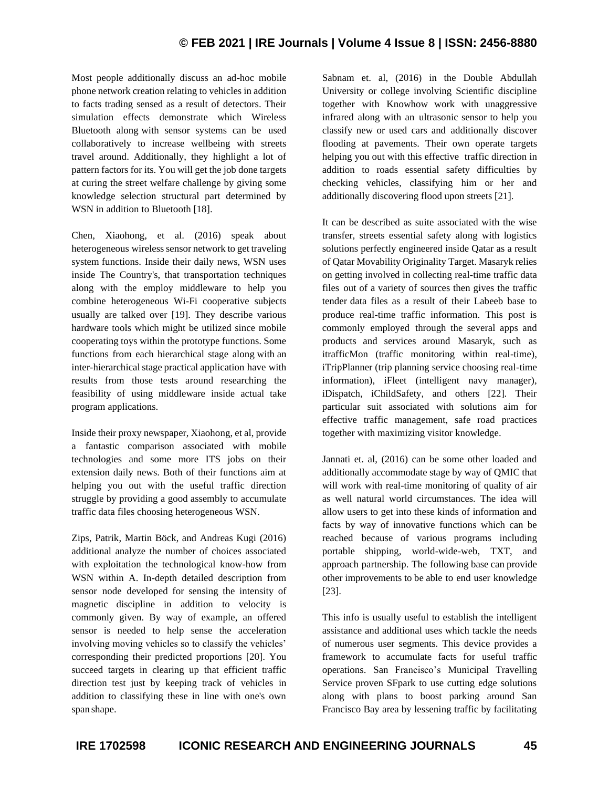Most people additionally discuss an ad-hoc mobile phone network creation relating to vehicles in addition to facts trading sensed as a result of detectors. Their simulation effects demonstrate which Wireless Bluetooth along with sensor systems can be used collaboratively to increase wellbeing with streets travel around. Additionally, they highlight a lot of pattern factors for its. You will get the job done targets at curing the street welfare challenge by giving some knowledge selection structural part determined by WSN in addition to Bluetooth [18].

Chen, Xiaohong, et al. (2016) speak about heterogeneous wireless sensor network to get traveling system functions. Inside their daily news, WSN uses inside The Country's, that transportation techniques along with the employ middleware to help you combine heterogeneous Wi-Fi cooperative subjects usually are talked over [19]. They describe various hardware tools which might be utilized since mobile cooperating toys within the prototype functions. Some functions from each hierarchical stage along with an inter-hierarchical stage practical application have with results from those tests around researching the feasibility of using middleware inside actual take program applications.

Inside their proxy newspaper, Xiaohong, et al, provide a fantastic comparison associated with mobile technologies and some more ITS jobs on their extension daily news. Both of their functions aim at helping you out with the useful traffic direction struggle by providing a good assembly to accumulate traffic data files choosing heterogeneous WSN.

Zips, Patrik, Martin Böck, and Andreas Kugi (2016) additional analyze the number of choices associated with exploitation the technological know-how from WSN within A. In-depth detailed description from sensor node developed for sensing the intensity of magnetic discipline in addition to velocity is commonly given. By way of example, an offered sensor is needed to help sense the acceleration involving moving vehicles so to classify the vehicles' corresponding their predicted proportions [20]. You succeed targets in clearing up that efficient traffic direction test just by keeping track of vehicles in addition to classifying these in line with one's own span shape.

Sabnam et. al, (2016) in the Double Abdullah University or college involving Scientific discipline together with Knowhow work with unaggressive infrared along with an ultrasonic sensor to help you classify new or used cars and additionally discover flooding at pavements. Their own operate targets helping you out with this effective traffic direction in addition to roads essential safety difficulties by checking vehicles, classifying him or her and additionally discovering flood upon streets [21].

It can be described as suite associated with the wise transfer, streets essential safety along with logistics solutions perfectly engineered inside Qatar as a result of Qatar Movability Originality Target. Masaryk relies on getting involved in collecting real-time traffic data files out of a variety of sources then gives the traffic tender data files as a result of their Labeeb base to produce real-time traffic information. This post is commonly employed through the several apps and products and services around Masaryk, such as itrafficMon (traffic monitoring within real-time), iTripPlanner (trip planning service choosing real-time information), iFleet (intelligent navy manager), iDispatch, iChildSafety, and others [22]. Their particular suit associated with solutions aim for effective traffic management, safe road practices together with maximizing visitor knowledge.

Jannati et. al, (2016) can be some other loaded and additionally accommodate stage by way of QMIC that will work with real-time monitoring of quality of air as well natural world circumstances. The idea will allow users to get into these kinds of information and facts by way of innovative functions which can be reached because of various programs including portable shipping, world-wide-web, TXT, and approach partnership. The following base can provide other improvements to be able to end user knowledge [23].

This info is usually useful to establish the intelligent assistance and additional uses which tackle the needs of numerous user segments. This device provides a framework to accumulate facts for useful traffic operations. San Francisco's Municipal Travelling Service proven SFpark to use cutting edge solutions along with plans to boost parking around San Francisco Bay area by lessening traffic by facilitating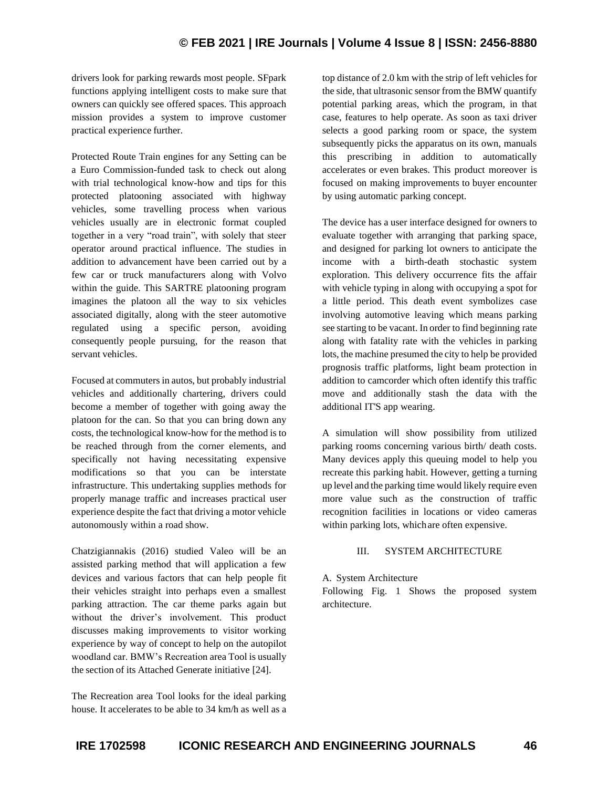drivers look for parking rewards most people. SFpark functions applying intelligent costs to make sure that owners can quickly see offered spaces. This approach mission provides a system to improve customer practical experience further.

Protected Route Train engines for any Setting can be a Euro Commission-funded task to check out along with trial technological know-how and tips for this protected platooning associated with highway vehicles, some travelling process when various vehicles usually are in electronic format coupled together in a very "road train", with solely that steer operator around practical influence. The studies in addition to advancement have been carried out by a few car or truck manufacturers along with Volvo within the guide. This SARTRE platooning program imagines the platoon all the way to six vehicles associated digitally, along with the steer automotive regulated using a specific person, avoiding consequently people pursuing, for the reason that servant vehicles.

Focused at commuters in autos, but probably industrial vehicles and additionally chartering, drivers could become a member of together with going away the platoon for the can. So that you can bring down any costs, the technological know-how for the method is to be reached through from the corner elements, and specifically not having necessitating expensive modifications so that you can be interstate infrastructure. This undertaking supplies methods for properly manage traffic and increases practical user experience despite the fact that driving a motor vehicle autonomously within a road show.

Chatzigiannakis (2016) studied Valeo will be an assisted parking method that will application a few devices and various factors that can help people fit their vehicles straight into perhaps even a smallest parking attraction. The car theme parks again but without the driver's involvement. This product discusses making improvements to visitor working experience by way of concept to help on the autopilot woodland car. BMW's Recreation area Tool is usually the section of its Attached Generate initiative [24].

The Recreation area Tool looks for the ideal parking house. It accelerates to be able to 34 km/h as well as a top distance of 2.0 km with the strip of left vehicles for the side, that ultrasonic sensor from the BMW quantify potential parking areas, which the program, in that case, features to help operate. As soon as taxi driver selects a good parking room or space, the system subsequently picks the apparatus on its own, manuals this prescribing in addition to automatically accelerates or even brakes. This product moreover is focused on making improvements to buyer encounter by using automatic parking concept.

The device has a user interface designed for owners to evaluate together with arranging that parking space, and designed for parking lot owners to anticipate the income with a birth-death stochastic system exploration. This delivery occurrence fits the affair with vehicle typing in along with occupying a spot for a little period. This death event symbolizes case involving automotive leaving which means parking see starting to be vacant. In order to find beginning rate along with fatality rate with the vehicles in parking lots, the machine presumed the city to help be provided prognosis traffic platforms, light beam protection in addition to camcorder which often identify this traffic move and additionally stash the data with the additional IT'S app wearing.

A simulation will show possibility from utilized parking rooms concerning various birth/ death costs. Many devices apply this queuing model to help you recreate this parking habit. However, getting a turning up level and the parking time would likely require even more value such as the construction of traffic recognition facilities in locations or video cameras within parking lots, whichare often expensive.

#### III. SYSTEM ARCHITECTURE

A. System Architecture

Following Fig. 1 Shows the proposed system architecture.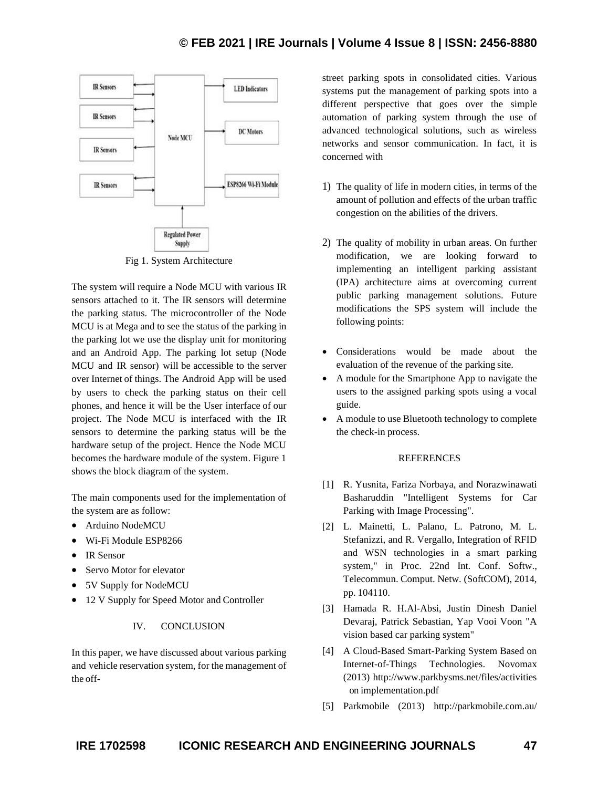

Fig 1. System Architecture

The system will require a Node MCU with various IR sensors attached to it. The IR sensors will determine the parking status. The microcontroller of the Node MCU is at Mega and to see the status of the parking in the parking lot we use the display unit for monitoring and an Android App. The parking lot setup (Node MCU and IR sensor) will be accessible to the server over Internet of things. The Android App will be used by users to check the parking status on their cell phones, and hence it will be the User interface of our project. The Node MCU is interfaced with the IR sensors to determine the parking status will be the hardware setup of the project. Hence the Node MCU becomes the hardware module of the system. Figure 1 shows the block diagram of the system.

The main components used for the implementation of the system are as follow:

- Arduino NodeMCU
- Wi-Fi Module ESP8266
- IR Sensor
- Servo Motor for elevator
- 5V Supply for NodeMCU
- 12 V Supply for Speed Motor and Controller

#### IV. CONCLUSION

In this paper, we have discussed about various parking and vehicle reservation system, for the management of the offstreet parking spots in consolidated cities. Various systems put the management of parking spots into a different perspective that goes over the simple automation of parking system through the use of advanced technological solutions, such as wireless networks and sensor communication. In fact, it is concerned with

- 1) The quality of life in modern cities, in terms of the amount of pollution and effects of the urban traffic congestion on the abilities of the drivers.
- 2) The quality of mobility in urban areas. On further modification, we are looking forward to implementing an intelligent parking assistant (IPA) architecture aims at overcoming current public parking management solutions. Future modifications the SPS system will include the following points:
- Considerations would be made about the evaluation of the revenue of the parking site.
- A module for the Smartphone App to navigate the users to the assigned parking spots using a vocal guide.
- A module to use Bluetooth technology to complete the check-in process.

#### **REFERENCES**

- [1] R. Yusnita, Fariza Norbaya, and Norazwinawati Basharuddin "Intelligent Systems for Car Parking with Image Processing".
- [2] L. Mainetti, L. Palano, L. Patrono, M. L. Stefanizzi, and R. Vergallo, Integration of RFID and WSN technologies in a smart parking system," in Proc. 22nd Int. Conf. Softw., Telecommun. Comput. Netw. (SoftCOM), 2014, pp. 104110.
- [3] Hamada R. H.Al-Absi, Justin Dinesh Daniel Devaraj, Patrick Sebastian, Yap Vooi Voon "A vision based car parking system"
- [4] A Cloud-Based Smart-Parking System Based on Internet-of-Things Technologies. Novomax (2013) [http://www.parkbysms.net/files/activities](http://www.parkbysms.net/files/activities%20on%20implementation.pdf) [on](http://www.parkbysms.net/files/activities%20on%20implementation.pdf) [implementation.pdf](http://www.parkbysms.net/files/activities%20on%20implementation.pdf)
- [5] Parkmobile (2013) <http://parkmobile.com.au/>